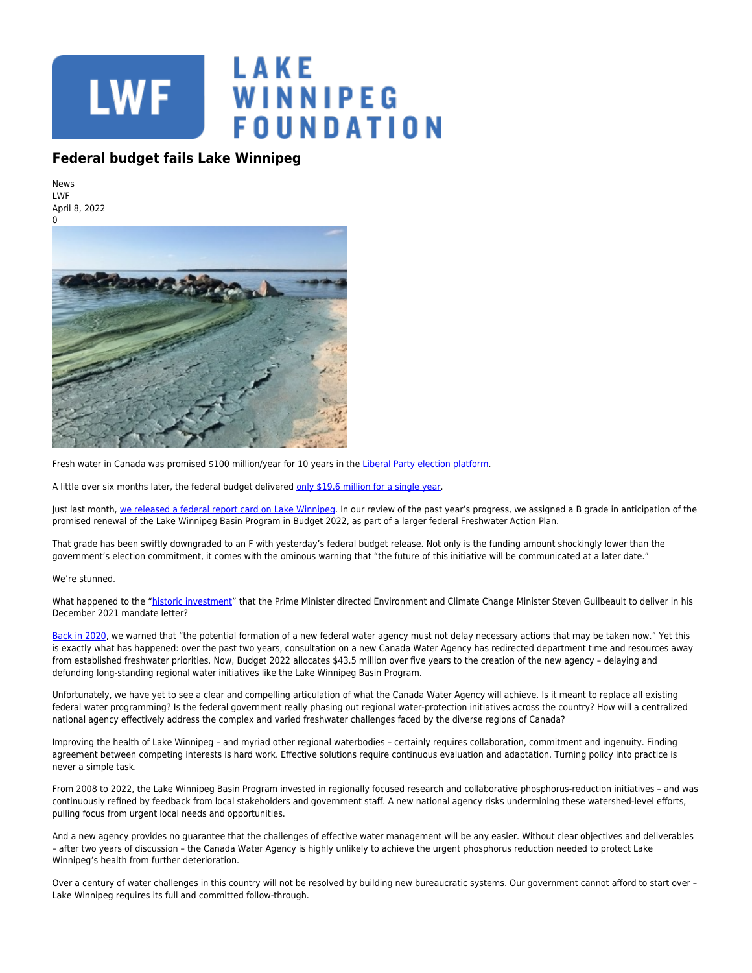

## **Federal budget fails Lake Winnipeg**

News LWF April 8, 2022



Fresh water in Canada was promised \$100 million/year for 10 years in the [Liberal Party election platform.](https://liberal.ca/wp-content/uploads/sites/292/2021/09/Platform-Forward-For-Everyone.pdf#page=57)

A little over six months later, the federal budget delivered [only \\$19.6 million for a single year.](https://budget.gc.ca/2022/pdf/budget-2022-en.pdf#page=121)

Just last month, [we released a federal report card on Lake Winnipeg](https://lakewinnipegfoundation.org/FiveThingsReportCard). In our review of the past year's progress, we assigned a B grade in anticipation of the promised renewal of the Lake Winnipeg Basin Program in Budget 2022, as part of a larger federal Freshwater Action Plan.

That grade has been swiftly downgraded to an F with yesterday's federal budget release. Not only is the funding amount shockingly lower than the government's election commitment, it comes with the ominous warning that "the future of this initiative will be communicated at a later date."

## We're stunned.

What happened to the ["historic investment](https://pm.gc.ca/en/mandate-letters/2021/12/16/minister-environment-and-climate-change-mandate-letter)" that the Prime Minister directed Environment and Climate Change Minister Steven Guilbeault to deliver in his December 2021 mandate letter?

[Back in 2020](https://www.lakewinnipegfoundation.org/sites/default/files/FiveThingsForLakeWinnipeg-Dec2020.pdf), we warned that "the potential formation of a new federal water agency must not delay necessary actions that may be taken now." Yet this is exactly what has happened: over the past two years, consultation on a new Canada Water Agency has redirected department time and resources away from established freshwater priorities. Now, Budget 2022 allocates \$43.5 million over five years to the creation of the new agency – delaying and defunding long-standing regional water initiatives like the Lake Winnipeg Basin Program.

Unfortunately, we have yet to see a clear and compelling articulation of what the Canada Water Agency will achieve. Is it meant to replace all existing federal water programming? Is the federal government really phasing out regional water-protection initiatives across the country? How will a centralized national agency effectively address the complex and varied freshwater challenges faced by the diverse regions of Canada?

Improving the health of Lake Winnipeg – and myriad other regional waterbodies – certainly requires collaboration, commitment and ingenuity. Finding agreement between competing interests is hard work. Effective solutions require continuous evaluation and adaptation. Turning policy into practice is never a simple task.

From 2008 to 2022, the Lake Winnipeg Basin Program invested in regionally focused research and collaborative phosphorus-reduction initiatives – and was continuously refined by feedback from local stakeholders and government staff. A new national agency risks undermining these watershed-level efforts, pulling focus from urgent local needs and opportunities.

And a new agency provides no guarantee that the challenges of effective water management will be any easier. Without clear objectives and deliverables – after two years of discussion – the Canada Water Agency is highly unlikely to achieve the urgent phosphorus reduction needed to protect Lake Winnipeg's health from further deterioration.

Over a century of water challenges in this country will not be resolved by building new bureaucratic systems. Our government cannot afford to start over -Lake Winnipeg requires its full and committed follow-through.